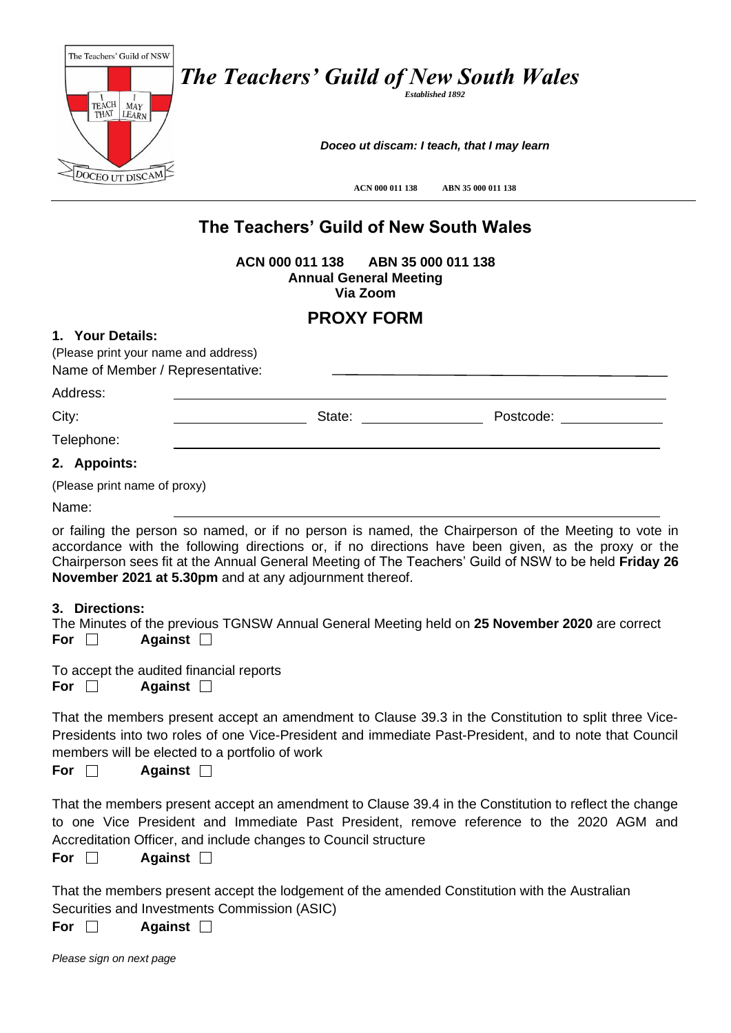| The Teachers' Guild of NSW<br><b>TEACH</b><br>MAY<br>THAI<br>LEARN' | <b>The Teachers' Guild of New South Wales</b><br><b>Established 1892</b> |
|---------------------------------------------------------------------|--------------------------------------------------------------------------|
|                                                                     | Doceo ut discam: I teach, that I may learn                               |
| JCEO L                                                              | ABN 35 000 011 138<br>ACN 000 011 138                                    |
|                                                                     | The Teachers' Guild of New South Wales                                   |

**ACN 000 011 138 ABN 35 000 011 138 Annual General Meeting Via Zoom**

## **PROXY FORM**

## **1. Your Details:** (Please print your name and address) Name of Member / Representative: Address: City: 2008. 2010. City: 2008. 2010. City: 2008. 2010. 2010. 2010. 2010. 2010. 2010. 2010. 2010. 2010. 2010. 20<br>2010. 2010. 2010. 2010. 2010. 2010. 2010. 2010. 2010. 2010. 2010. 2010. 2010. 2010. 2010. 2010. 2010. 2010. 20<br> Telephone: **2. Appoints:**

(Please print name of proxy)

Name:

or failing the person so named, or if no person is named, the Chairperson of the Meeting to vote in accordance with the following directions or, if no directions have been given, as the proxy or the Chairperson sees fit at the Annual General Meeting of The Teachers' Guild of NSW to be held **Friday 26 November 2021 at 5.30pm** and at any adjournment thereof.

## **3. Directions:**

The Minutes of the previous TGNSW Annual General Meeting held on **25 November 2020** are correct **For Against**

To accept the audited financial reports **For Against**

That the members present accept an amendment to Clause 39.3 in the Constitution to split three Vice-Presidents into two roles of one Vice-President and immediate Past-President, and to note that Council members will be elected to a portfolio of work

**For Against**

That the members present accept an amendment to Clause 39.4 in the Constitution to reflect the change to one Vice President and Immediate Past President, remove reference to the 2020 AGM and Accreditation Officer, and include changes to Council structure

**For Against**

That the members present accept the lodgement of the amended Constitution with the Australian Securities and Investments Commission (ASIC)

**For Against**

*Please sign on next page*